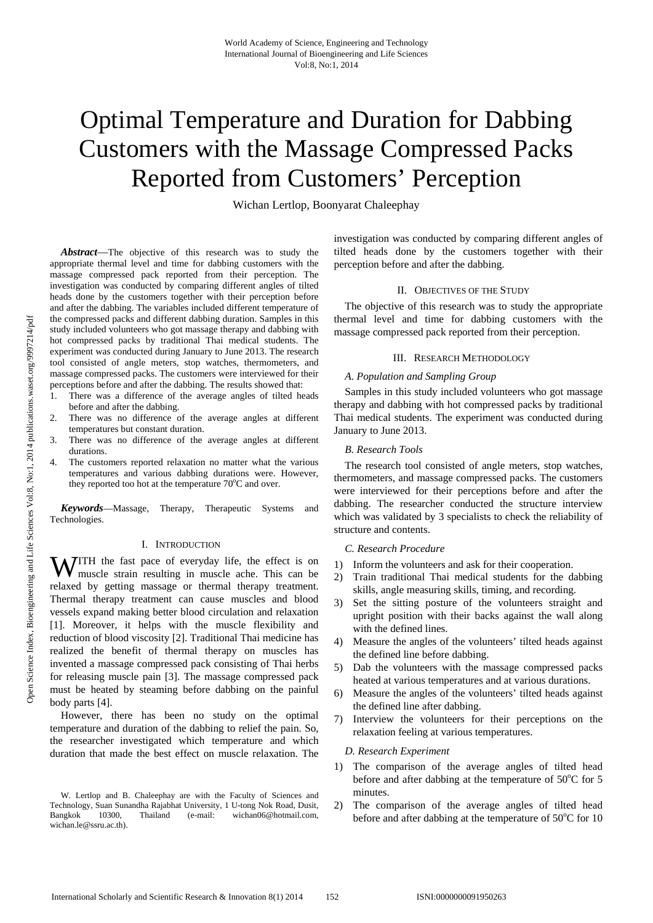# Optimal Temperature and Duration for Dabbing Customers with the Massage Compressed Packs Reported from Customers' Perception

Wichan Lertlop, Boonyarat Chaleephay

*Abstract*—The objective of this research was to study the appropriate thermal level and time for dabbing customers with the massage compressed pack reported from their perception. The investigation was conducted by comparing different angles of tilted heads done by the customers together with their perception before and after the dabbing. The variables included different temperature of the compressed packs and different dabbing duration. Samples in this study included volunteers who got massage therapy and dabbing with hot compressed packs by traditional Thai medical students. The experiment was conducted during January to June 2013. The research tool consisted of angle meters, stop watches, thermometers, and massage compressed packs. The customers were interviewed for their perceptions before and after the dabbing. The results showed that:

- 1. There was a difference of the average angles of tilted heads before and after the dabbing.
- There was no difference of the average angles at different temperatures but constant duration.
- There was no difference of the average angles at different durations.
- The customers reported relaxation no matter what the various temperatures and various dabbing durations were. However, they reported too hot at the temperature  $70^{\circ}$ C and over.

*Keywords*—Massage, Therapy, Therapeutic Systems and Technologies.

## I. INTRODUCTION

**WITH** the fast pace of everyday life, the effect is on muscle strain resulting in muscle ache. This can be muscle strain resulting in muscle ache. This can be relaxed by getting massage or thermal therapy treatment. Thermal therapy treatment can cause muscles and blood vessels expand making better blood circulation and relaxation [1]. Moreover, it helps with the muscle flexibility and reduction of blood viscosity [2]. Traditional Thai medicine has realized the benefit of thermal therapy on muscles has invented a massage compressed pack consisting of Thai herbs for releasing muscle pain [3]. The massage compressed pack must be heated by steaming before dabbing on the painful body parts [4].

However, there has been no study on the optimal temperature and duration of the dabbing to relief the pain. So, the researcher investigated which temperature and which duration that made the best effect on muscle relaxation. The investigation was conducted by comparing different angles of tilted heads done by the customers together with their perception before and after the dabbing.

## II. OBJECTIVES OF THE STUDY

The objective of this research was to study the appropriate thermal level and time for dabbing customers with the massage compressed pack reported from their perception.

## III. RESEARCH METHODOLOGY

## *A. Population and Sampling Group*

Samples in this study included volunteers who got massage therapy and dabbing with hot compressed packs by traditional Thai medical students. The experiment was conducted during January to June 2013.

## *B. Research Tools*

The research tool consisted of angle meters, stop watches, thermometers, and massage compressed packs. The customers were interviewed for their perceptions before and after the dabbing. The researcher conducted the structure interview which was validated by 3 specialists to check the reliability of structure and contents.

## *C. Research Procedure*

- 1) Inform the volunteers and ask for their cooperation.
- 2) Train traditional Thai medical students for the dabbing skills, angle measuring skills, timing, and recording.
- 3) Set the sitting posture of the volunteers straight and upright position with their backs against the wall along with the defined lines.
- 4) Measure the angles of the volunteers' tilted heads against the defined line before dabbing.
- 5) Dab the volunteers with the massage compressed packs heated at various temperatures and at various durations.
- 6) Measure the angles of the volunteers' tilted heads against the defined line after dabbing.
- 7) Interview the volunteers for their perceptions on the relaxation feeling at various temperatures.

## *D. Research Experiment*

- 1) The comparison of the average angles of tilted head before and after dabbing at the temperature of 50°C for 5 minutes.
- 2) The comparison of the average angles of tilted head before and after dabbing at the temperature of  $50^{\circ}$ C for 10

W. Lertlop and B. Chaleephay are with the Faculty of Sciences and Technology, Suan Sunandha Rajabhat University, 1 U-tong Nok Road, Dusit, 10300, Thailand (e-mail: wichan06@hotmail.com, wichan.le@ssru.ac.th).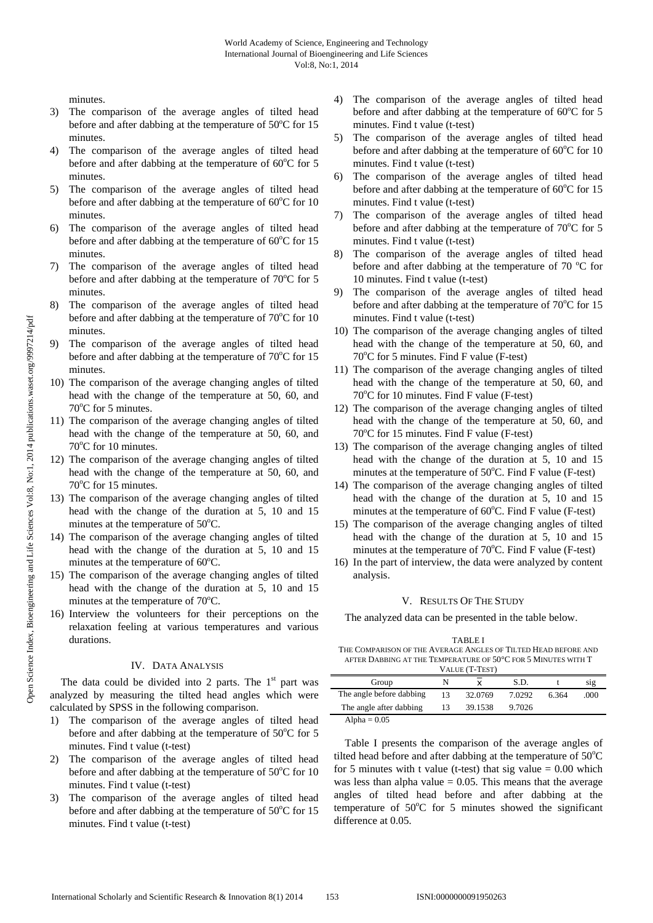minutes.

- 3) The comparison of the average angles of tilted head before and after dabbing at the temperature of  $50^{\circ}$ C for 15 minutes.
- 4) The comparison of the average angles of tilted head before and after dabbing at the temperature of  $60^{\circ}$ C for 5 minutes.
- 5) The comparison of the average angles of tilted head before and after dabbing at the temperature of  $60^{\circ}$ C for 10 minutes.
- 6) The comparison of the average angles of tilted head before and after dabbing at the temperature of  $60^{\circ}$ C for 15 minutes.
- 7) The comparison of the average angles of tilted head before and after dabbing at the temperature of  $70^{\circ}$ C for 5 minutes.
- 8) The comparison of the average angles of tilted head before and after dabbing at the temperature of  $70^{\circ}$ C for 10 minutes.
- 9) The comparison of the average angles of tilted head before and after dabbing at the temperature of  $70^{\circ}$ C for 15 minutes.
- 10) The comparison of the average changing angles of tilted head with the change of the temperature at 50, 60, and 70°C for 5 minutes.
- 11) The comparison of the average changing angles of tilted head with the change of the temperature at 50, 60, and 70°C for 10 minutes.
- 12) The comparison of the average changing angles of tilted head with the change of the temperature at 50, 60, and 70°C for 15 minutes.
- 13) The comparison of the average changing angles of tilted head with the change of the duration at 5, 10 and 15 minutes at the temperature of  $50^{\circ}$ C.
- 14) The comparison of the average changing angles of tilted head with the change of the duration at 5, 10 and 15 minutes at the temperature of  $60^{\circ}$ C.
- 15) The comparison of the average changing angles of tilted head with the change of the duration at 5, 10 and 15 minutes at the temperature of  $70^{\circ}$ C.
- 16) Interview the volunteers for their perceptions on the relaxation feeling at various temperatures and various durations.

# IV. DATA ANALYSIS

The data could be divided into 2 parts. The  $1<sup>st</sup>$  part was analyzed by measuring the tilted head angles which were calculated by SPSS in the following comparison.

- 1) The comparison of the average angles of tilted head before and after dabbing at the temperature of  $50^{\circ}$ C for 5 minutes. Find t value (t-test)
- 2) The comparison of the average angles of tilted head before and after dabbing at the temperature of  $50^{\circ}$ C for 10 minutes. Find t value (t-test)
- 3) The comparison of the average angles of tilted head before and after dabbing at the temperature of  $50^{\circ}$ C for 15 minutes. Find t value (t-test)
- 4) The comparison of the average angles of tilted head before and after dabbing at the temperature of  $60^{\circ}$ C for 5 minutes. Find t value (t-test)
- 5) The comparison of the average angles of tilted head before and after dabbing at the temperature of 60°C for 10 minutes. Find t value (t-test)
- 6) The comparison of the average angles of tilted head before and after dabbing at the temperature of 60°C for 15 minutes. Find t value (t-test)
- 7) The comparison of the average angles of tilted head before and after dabbing at the temperature of 70°C for 5 minutes. Find t value (t-test)
- 8) The comparison of the average angles of tilted head before and after dabbing at the temperature of  $70^{\circ}$ C for 10 minutes. Find t value (t-test)
- 9) The comparison of the average angles of tilted head before and after dabbing at the temperature of  $70^{\circ}$ C for 15 minutes. Find t value (t-test)
- 10) The comparison of the average changing angles of tilted head with the change of the temperature at 50, 60, and 70°C for 5 minutes. Find F value (F-test)
- 11) The comparison of the average changing angles of tilted head with the change of the temperature at 50, 60, and 70°C for 10 minutes. Find F value (F-test)
- 12) The comparison of the average changing angles of tilted head with the change of the temperature at 50, 60, and 70°C for 15 minutes. Find F value (F-test)
- 13) The comparison of the average changing angles of tilted head with the change of the duration at 5, 10 and 15 minutes at the temperature of 50°C. Find F value (F-test)
- 14) The comparison of the average changing angles of tilted head with the change of the duration at 5, 10 and 15 minutes at the temperature of 60°C. Find F value (F-test)
- 15) The comparison of the average changing angles of tilted head with the change of the duration at 5, 10 and 15 minutes at the temperature of 70°C. Find F value (F-test)
- 16) In the part of interview, the data were analyzed by content analysis.

## V. RESULTS OF THE STUDY

The analyzed data can be presented in the table below.

### TABLE I THE COMPARISON OF THE AVERAGE ANGLES OF TILTED HEAD BEFORE AND AFTER DABBING AT THE TEMPERATURE OF 50°C FOR 5 MINUTES WITH T VALUE (T-TEST)

| $VALUE$ $(I-IESI)$       |    |         |        |      |      |  |  |
|--------------------------|----|---------|--------|------|------|--|--|
| Group                    |    |         | S.D.   |      | S1g  |  |  |
| The angle before dabbing | 13 | 32.0769 | 7.0292 | 6364 | .000 |  |  |
| The angle after dabbing  |    | 39.1538 | 9.7026 |      |      |  |  |
| Alpha = $0.05$           |    |         |        |      |      |  |  |

Table I presents the comparison of the average angles of tilted head before and after dabbing at the temperature of  $50^{\circ}$ C for 5 minutes with t value (t-test) that sig value  $= 0.00$  which was less than alpha value  $= 0.05$ . This means that the average angles of tilted head before and after dabbing at the temperature of 50°C for 5 minutes showed the significant difference at 0.05.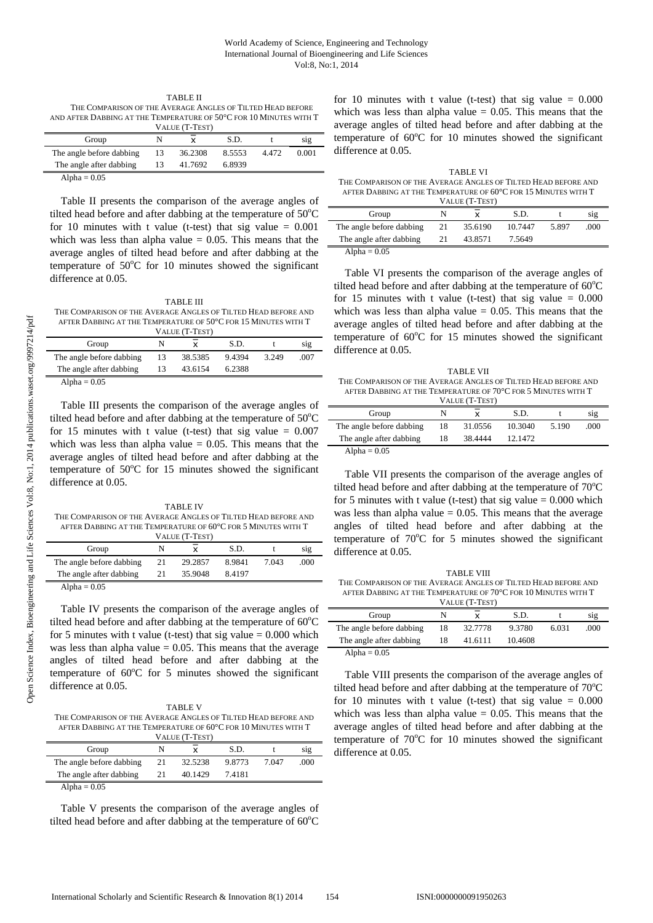TABLE II THE COMPARISON OF THE AVERAGE ANGLES OF TILTED HEAD BEFORE AND AFTER DABBING AT THE TEMPERATURE OF 50°C FOR 10 MINUTES WITH T VALUE (T-TEST)

| $VALUE$ $(I - IESI)$     |   |         |        |      |       |  |  |
|--------------------------|---|---------|--------|------|-------|--|--|
| Group                    | N |         | S.D.   |      | S1g   |  |  |
| The angle before dabbing |   | 36.2308 | 8.5553 | 4472 | 0.001 |  |  |
| The angle after dabbing  |   | 41.7692 | 6.8939 |      |       |  |  |
| Alpha = $0.05$           |   |         |        |      |       |  |  |

Table II presents the comparison of the average angles of tilted head before and after dabbing at the temperature of  $50^{\circ}$ C for 10 minutes with t value (t-test) that sig value  $= 0.001$ which was less than alpha value  $= 0.05$ . This means that the average angles of tilted head before and after dabbing at the temperature of  $50^{\circ}$ C for 10 minutes showed the significant difference at 0.05.

TABLE III THE COMPARISON OF THE AVERAGE ANGLES OF THITED HEAD BEFORE AND AFTER DABBING AT THE TEMPERATURE OF 50°C FOR 15 MINUTES WITH T

| VALUE (T-TEST)           |    |         |        |       |      |  |
|--------------------------|----|---------|--------|-------|------|--|
| Group                    |    |         | S.D.   |       | S1g  |  |
| The angle before dabbing | 13 | 38.5385 | 9.4394 | 3.249 | .007 |  |
| The angle after dabbing  |    | 43.6154 | 6.2388 |       |      |  |
| Alpha = $0.05$           |    |         |        |       |      |  |

Table III presents the comparison of the average angles of tilted head before and after dabbing at the temperature of  $50^{\circ}$ C for 15 minutes with t value (t-test) that sig value  $= 0.007$ which was less than alpha value  $= 0.05$ . This means that the average angles of tilted head before and after dabbing at the temperature of  $50^{\circ}$ C for 15 minutes showed the significant difference at 0.05.

TABLE IV THE COMPARISON OF THE AVERAGE ANGLES OF TILTED HEAD BEFORE AND AFTER DABBING AT THE TEMPERATURE OF 60°C FOR 5 MINUTES WITH T

| VALUE (T-TEST)           |    |         |        |       |      |  |
|--------------------------|----|---------|--------|-------|------|--|
| Group                    | N  |         | S.D.   |       | S1g  |  |
| The angle before dabbing | 21 | 29.2857 | 8.9841 | 7.043 | .000 |  |
| The angle after dabbing  | 21 | 35.9048 | 8.4197 |       |      |  |
| Alpha = $0.05$           |    |         |        |       |      |  |

Table IV presents the comparison of the average angles of tilted head before and after dabbing at the temperature of  $60^{\circ}$ C for 5 minutes with t value (t-test) that sig value  $= 0.000$  which was less than alpha value  $= 0.05$ . This means that the average angles of tilted head before and after dabbing at the temperature of  $60^{\circ}$ C for 5 minutes showed the significant difference at 0.05.

| <b>TABLE V</b>                                                 |
|----------------------------------------------------------------|
| THE COMPARISON OF THE AVERAGE ANGLES OF TILTED HEAD BEFORE AND |
| AFTER DABBING AT THE TEMPERATURE OF 60°C FOR 10 MINUTES WITH T |
| $T$ , a com $(TT, TT_{\text{max}})$                            |

| VALUE (T-TEST)           |    |         |        |       |      |  |
|--------------------------|----|---------|--------|-------|------|--|
| Group                    |    | x       | S.D.   |       | S1g  |  |
| The angle before dabbing | 21 | 32.5238 | 9.8773 | 7 047 | .000 |  |
| The angle after dabbing  | 21 | 40.1429 | 7.4181 |       |      |  |
| Alpha = $0.05$           |    |         |        |       |      |  |

Table V presents the comparison of the average angles of tilted head before and after dabbing at the temperature of  $60^{\circ}$ C for 10 minutes with t value (t-test) that sig value  $= 0.000$ which was less than alpha value  $= 0.05$ . This means that the average angles of tilted head before and after dabbing at the temperature of 60°C for 10 minutes showed the significant difference at 0.05.

TABLE VI THE COMPARISON OF THE AVERAGE ANGLES OF TILTED HEAD BEFORE AND AFTER DABBING AT THE TEMPERATURE OF 60°C FOR 15 MINUTES WITH T VALUE (T-TEST)

| Group                              |  |         | S.D.    |       | sig  |  |
|------------------------------------|--|---------|---------|-------|------|--|
| The angle before dabbing           |  | 35.6190 | 10 7447 | 5.897 | .000 |  |
| The angle after dabbing            |  | 43.8571 | 7.5649  |       |      |  |
| $\Lambda$ 1.1. $\Lambda$ $\Lambda$ |  |         |         |       |      |  |

Alpha  $= 0.05$ 

Table VI presents the comparison of the average angles of tilted head before and after dabbing at the temperature of  $60^{\circ}$ C for 15 minutes with t value (t-test) that sig value  $= 0.000$ which was less than alpha value  $= 0.05$ . This means that the average angles of tilted head before and after dabbing at the temperature of 60°C for 15 minutes showed the significant difference at 0.05.

| TABLE VII                                                      |
|----------------------------------------------------------------|
| THE COMPARISON OF THE AVERAGE ANGLES OF TILTED HEAD BEFORE AND |
| AFTER DABBING AT THE TEMPERATURE OF 70°C FOR 5 MINUTES WITH T  |
| VALUE (T-TEST)                                                 |

| $VALUE$ $(I-IESI)$       |    |         |         |       |      |  |  |
|--------------------------|----|---------|---------|-------|------|--|--|
| Group                    | N  |         | S.D.    |       | sig  |  |  |
| The angle before dabbing | 18 | 31.0556 | 10.3040 | 5.190 | .000 |  |  |
| The angle after dabbing  | 18 | 38.4444 | 12.1472 |       |      |  |  |
| Alpha = $0.05$           |    |         |         |       |      |  |  |

Table VII presents the comparison of the average angles of tilted head before and after dabbing at the temperature of  $70^{\circ}$ C for 5 minutes with t value (t-test) that sig value  $= 0.000$  which was less than alpha value  $= 0.05$ . This means that the average angles of tilted head before and after dabbing at the temperature of 70°C for 5 minutes showed the significant difference at 0.05.

| TABLE VIII                                                     |
|----------------------------------------------------------------|
| The Comparison of the Average Angles of Tilted Head before and |
| AFTER DABBING AT THE TEMPERATURE OF 70°C FOR 10 MINUTES WITH T |
| $V$ at the $(TT_{\text{E}}$                                    |

| VALUE (T-TEST)           |    |         |         |       |      |  |
|--------------------------|----|---------|---------|-------|------|--|
| Group                    | N  |         | S.D.    |       | sig  |  |
| The angle before dabbing | 18 | 32.7778 | 9.3780  | 6.031 | .000 |  |
| The angle after dabbing  | 18 | 41.6111 | 10.4608 |       |      |  |
| Alpha = $0.05$           |    |         |         |       |      |  |

Table VIII presents the comparison of the average angles of tilted head before and after dabbing at the temperature of  $70^{\circ}$ C for 10 minutes with t value (t-test) that sig value  $= 0.000$ which was less than alpha value  $= 0.05$ . This means that the average angles of tilted head before and after dabbing at the temperature of  $70^{\circ}$ C for 10 minutes showed the significant difference at 0.05.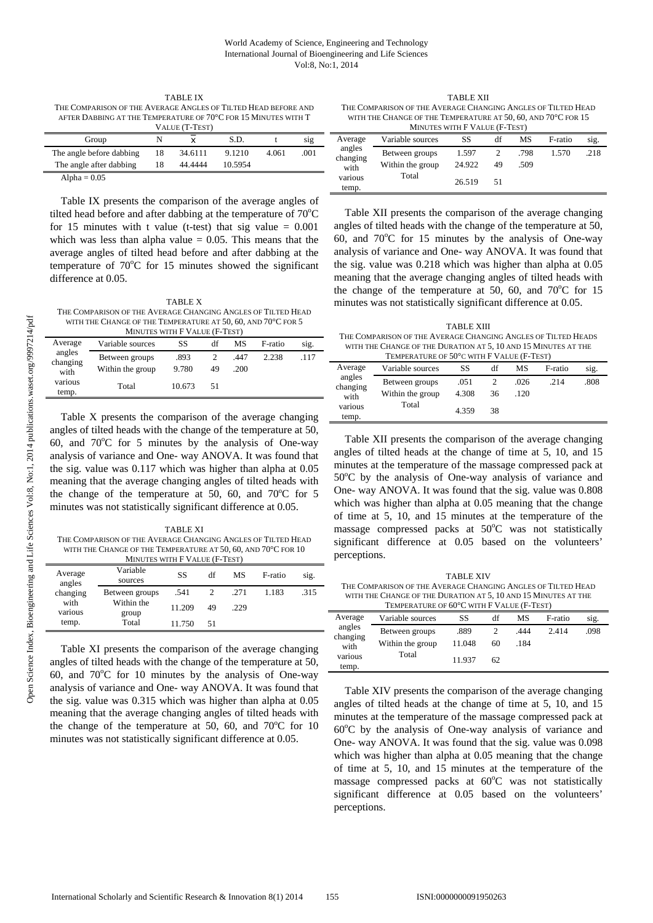TABLE IX THE COMPARISON OF THE AVERAGE ANGLES OF TILTED HEAD BEFORE AND AFTER DABBING AT THE TEMPERATURE OF 70°C FOR 15 MINUTES WITH T

| VALUE (T-TEST)           |    |         |         |       |      |  |
|--------------------------|----|---------|---------|-------|------|--|
| Group                    | N  |         | S.D.    |       | sıg  |  |
| The angle before dabbing | 18 | 34.6111 | 9.1210  | 4.061 | .001 |  |
| The angle after dabbing  |    | 44.4444 | 10.5954 |       |      |  |
| Alpha = $0.05$           |    |         |         |       |      |  |

Table IX presents the comparison of the average angles of tilted head before and after dabbing at the temperature of  $70^{\circ}$ C for 15 minutes with t value (t-test) that sig value  $= 0.001$ which was less than alpha value  $= 0.05$ . This means that the average angles of tilted head before and after dabbing at the temperature of  $70^{\circ}$ C for 15 minutes showed the significant difference at 0.05.

TABLE X THE COMPARISON OF THE AVERAGE CHANGING ANGLES OF TILTED HEAD WITH THE CHANGE OF THE TEMPERATURE AT 50, 60, AND 70°C FOR 5

| MINUTES WITH F VALUE (F-TEST) |                  |        |    |      |         |      |
|-------------------------------|------------------|--------|----|------|---------|------|
| Average                       | Variable sources | SS     | df | МS   | F-ratio | sig. |
| angles<br>changing            | Between groups   | .893   |    | .447 | 2.238   | .117 |
| with                          | Within the group | 9.780  | 49 | .200 |         |      |
| various<br>temp.              | Total            | 10.673 | 51 |      |         |      |

Table X presents the comparison of the average changing angles of tilted heads with the change of the temperature at 50, 60, and  $70^{\circ}$ C for 5 minutes by the analysis of One-way analysis of variance and One- way ANOVA. It was found that the sig. value was 0.117 which was higher than alpha at 0.05 meaning that the average changing angles of tilted heads with the change of the temperature at 50, 60, and  $70^{\circ}$ C for 5 minutes was not statistically significant difference at 0.05.

TABLE XI THE COMPARISON OF THE AVERAGE CHANGING ANGLES OF TILTED HEAD WITH THE CHANGE OF THE TEMPERATURE AT 50, 60, AND 70°C FOR 10 MINUTES WITH F VALUE (F-TEST)

|                   | MINUIES WITH F VALUE (F-IESI) |        |    |      |         |      |
|-------------------|-------------------------------|--------|----|------|---------|------|
| Average<br>angles | Variable<br>sources           | SS     | df | МS   | F-ratio | sig. |
| changing          | Between groups                | .541   |    | .271 | 1.183   | .315 |
| with<br>various   | Within the<br>group           | 11.209 | 49 | .229 |         |      |
| temp.             | Total                         | 11.750 | 51 |      |         |      |

Table XI presents the comparison of the average changing angles of tilted heads with the change of the temperature at 50, 60, and  $70^{\circ}$ C for 10 minutes by the analysis of One-way analysis of variance and One- way ANOVA. It was found that the sig. value was 0.315 which was higher than alpha at 0.05 meaning that the average changing angles of tilted heads with the change of the temperature at 50, 60, and  $70^{\circ}$ C for 10 minutes was not statistically significant difference at 0.05.

TABLE XII THE COMPARISON OF THE AVERAGE CHANGING ANGLES OF TILTED HEAD WITH THE CHANGE OF THE TEMPERATURE AT 50, 60, AND 70°C FOR 15 MINUTES WITH F VALUE (F-TEST)

| MINUTES WITH F VALUE (F-TEST) |                  |        |    |      |         |      |
|-------------------------------|------------------|--------|----|------|---------|------|
| Average                       | Variable sources | SS     | df | МS   | F-ratio | sig. |
| angles<br>changing            | Between groups   | 1.597  |    | .798 | 1.570   | .218 |
| with                          | Within the group | 24.922 | 49 | .509 |         |      |
| various<br>temp.              | Total            | 26.519 | 51 |      |         |      |

Table XII presents the comparison of the average changing angles of tilted heads with the change of the temperature at 50, 60, and  $70^{\circ}$ C for 15 minutes by the analysis of One-way analysis of variance and One- way ANOVA. It was found that the sig. value was 0.218 which was higher than alpha at 0.05 meaning that the average changing angles of tilted heads with the change of the temperature at 50, 60, and  $70^{\circ}$ C for 15 minutes was not statistically significant difference at 0.05.

TABLE XIII THE COMPARISON OF THE AVERAGE CHANGING ANGLES OF TH TED HEADS WITH THE CHANGE OF THE DURATION AT 5, 10 AND 15 MINUTES AT THE

| TEMPERATURE OF 50°C WITH F VALUE (F-TEST) |                  |       |    |      |         |      |
|-------------------------------------------|------------------|-------|----|------|---------|------|
| Average                                   | Variable sources | SS    | df | МS   | F-ratio | sig. |
| angles<br>changing                        | Between groups   | .051  |    | .026 | .214    | .808 |
| with                                      | Within the group | 4.308 | 36 | .120 |         |      |
| various<br>temp.                          | Total            | 4.359 | 38 |      |         |      |

Table XII presents the comparison of the average changing angles of tilted heads at the change of time at 5, 10, and 15 minutes at the temperature of the massage compressed pack at 50°C by the analysis of One-way analysis of variance and One- way ANOVA. It was found that the sig. value was 0.808 which was higher than alpha at 0.05 meaning that the change of time at 5, 10, and 15 minutes at the temperature of the massage compressed packs at 50°C was not statistically significant difference at 0.05 based on the volunteers' perceptions.

|                                                              |                                                                | <b>TABLE XIV</b> |     |     |         |  |
|--------------------------------------------------------------|----------------------------------------------------------------|------------------|-----|-----|---------|--|
| THE COMPARISON OF THE AVERAGE CHANGING ANGLES OF TILTED HEAD |                                                                |                  |     |     |         |  |
|                                                              | WITH THE CHANGE OF THE DURATION AT 5, 10 AND 15 MINUTES AT THE |                  |     |     |         |  |
|                                                              | TEMPERATURE OF 60°C WITH F VALUE (F-TEST)                      |                  |     |     |         |  |
| Average                                                      | Variable sources                                               | - 88 -           | dt. | MS. | E-ratio |  |

|                    |                  |        |    | .    |         |      |
|--------------------|------------------|--------|----|------|---------|------|
| Average            | Variable sources | SS     | df | MS   | F-ratio | sig. |
| angles<br>changing | Between groups   | .889   |    | .444 | 2.414   | .098 |
| with               | Within the group | 11.048 | 60 | .184 |         |      |
| various<br>temp.   | Total            | 11.937 | 62 |      |         |      |

Table XIV presents the comparison of the average changing angles of tilted heads at the change of time at 5, 10, and 15 minutes at the temperature of the massage compressed pack at 60°C by the analysis of One-way analysis of variance and One- way ANOVA. It was found that the sig. value was 0.098 which was higher than alpha at 0.05 meaning that the change of time at 5, 10, and 15 minutes at the temperature of the massage compressed packs at 60°C was not statistically significant difference at 0.05 based on the volunteers' perceptions.